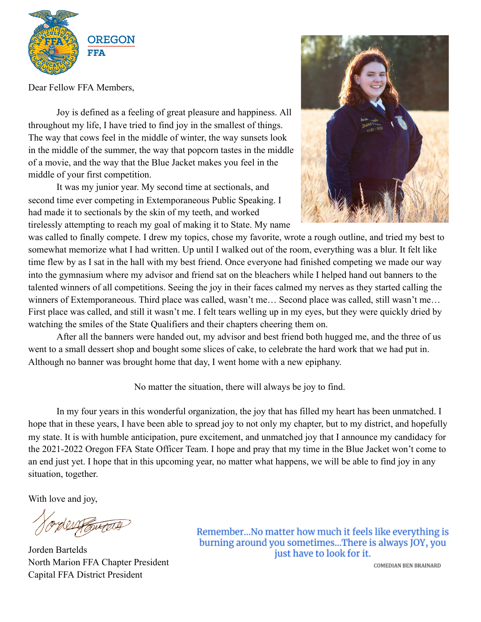

Dear Fellow FFA Members,

Joy is defined as a feeling of great pleasure and happiness. All throughout my life, I have tried to find joy in the smallest of things. The way that cows feel in the middle of winter, the way sunsets look in the middle of the summer, the way that popcorn tastes in the middle of a movie, and the way that the Blue Jacket makes you feel in the middle of your first competition.

It was my junior year. My second time at sectionals, and second time ever competing in Extemporaneous Public Speaking. I had made it to sectionals by the skin of my teeth, and worked tirelessly attempting to reach my goal of making it to State. My name



was called to finally compete. I drew my topics, chose my favorite, wrote a rough outline, and tried my best to somewhat memorize what I had written. Up until I walked out of the room, everything was a blur. It felt like time flew by as I sat in the hall with my best friend. Once everyone had finished competing we made our way into the gymnasium where my advisor and friend sat on the bleachers while I helped hand out banners to the talented winners of all competitions. Seeing the joy in their faces calmed my nerves as they started calling the winners of Extemporaneous. Third place was called, wasn't me... Second place was called, still wasn't me... First place was called, and still it wasn't me. I felt tears welling up in my eyes, but they were quickly dried by watching the smiles of the State Qualifiers and their chapters cheering them on.

After all the banners were handed out, my advisor and best friend both hugged me, and the three of us went to a small dessert shop and bought some slices of cake, to celebrate the hard work that we had put in. Although no banner was brought home that day, I went home with a new epiphany.

No matter the situation, there will always be joy to find.

In my four years in this wonderful organization, the joy that has filled my heart has been unmatched. I hope that in these years, I have been able to spread joy to not only my chapter, but to my district, and hopefully my state. It is with humble anticipation, pure excitement, and unmatched joy that I announce my candidacy for the 2021-2022 Oregon FFA State Officer Team. I hope and pray that my time in the Blue Jacket won't come to an end just yet. I hope that in this upcoming year, no matter what happens, we will be able to find joy in any situation, together.

With love and joy,

Jorden Bartelds North Marion FFA Chapter President Capital FFA District President

Remember...No matter how much it feels like everything is burning around you sometimes...There is always JOY, you just have to look for it.

COMEDIAN BEN BRAINARD